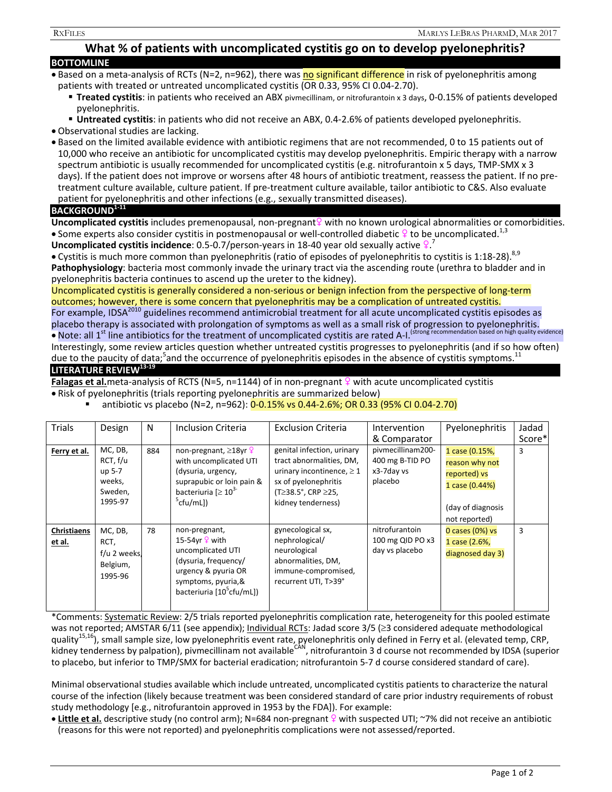# **What % of patients with uncomplicated cystitis go on to develop pyelonephritis?**

| <b>BOTTOMLINE</b> |  |  |  |  |  |  |  |  |
|-------------------|--|--|--|--|--|--|--|--|
|                   |  |  |  |  |  |  |  |  |

- Based on a meta-analysis of RCTs (N=2, n=962), there was no significant difference in risk of pyelonephritis among patients with treated or untreated uncomplicated cystitis (OR 0.33, 95% CI 0.04-2.70).
	- **Treated cystitis**: in patients who received an ABX pivmecillinam, or nitrofurantoin x 3 days, 0-0.15% of patients developed pyelonephritis.
	- **Untreated cystitis**: in patients who did not receive an ABX, 0.4-2.6% of patients developed pyelonephritis.

Observational studies are lacking.

 Based on the limited available evidence with antibiotic regimens that are not recommended, 0 to 15 patients out of 10,000 who receive an antibiotic for uncomplicated cystitis may develop pyelonephritis. Empiric therapy with a narrow spectrum antibiotic is usually recommended for uncomplicated cystitis (e.g. nitrofurantoin x 5 days, TMP-SMX x 3 days). If the patient does not improve or worsens after 48 hours of antibiotic treatment, reassess the patient. If no pretreatment culture available, culture patient. If pre-treatment culture available, tailor antibiotic to C&S. Also evaluate patient for pyelonephritis and other infections (e.g., sexually transmitted diseases).

## **BACKGROUND1-11**

**Uncomplicated cystitis** includes premenopausal, non-pregnant <sup>2</sup> with no known urological abnormalities or comorbidities. Some experts also consider cystitis in postmenopausal or well-controlled diabetic  $\frac{1}{2}$  to be uncomplicated.<sup>1,3</sup>

Uncomplicated cystitis incidence: 0.5-0.7/person-years in 18-40 year old sexually active <sup>Q 7</sup>

• Cystitis is much more common than pyelonephritis (ratio of episodes of pyelonephritis to cystitis is 1:18-28).<sup>8,9</sup> **Pathophysiology**: bacteria most commonly invade the urinary tract via the ascending route (urethra to bladder and in pyelonephritis bacteria continues to ascend up the ureter to the kidney).

Uncomplicated cystitis is generally considered a non-serious or benign infection from the perspective of long-term outcomes; however, there is some concern that pyelonephritis may be a complication of untreated cystitis.

For example, IDSA<sup>2010</sup> guidelines recommend antimicrobial treatment for all acute uncomplicated cystitis episodes as placebo therapy is associated with prolongation of symptoms as well as a small risk of progression to pyelonephritis. • Note: all 1<sup>st</sup> line antibiotics for the treatment of uncomplicated cystitis are rated A-I. (strong recommendation based on high quality evidence)

Interestingly, some review articles question whether untreated cystitis progresses to pyelonephritis (and if so how often) due to the paucity of data;<sup>5</sup>and the occurrence of pyelonephritis episodes in the absence of cystitis symptoms.<sup>11</sup> **LITERATURE REVIEW13-19**

**Falagas et al.**meta-analysis of RCTS (N=5, n=1144) of in non-pregnant  $\frac{9}{5}$  with acute uncomplicated cystitis

- Risk of pyelonephritis (trials reporting pyelonephritis are summarized below)
	- antibiotic vs placebo (N=2, n=962): 0-0.15% vs 0.44-2.6%; OR 0.33 (95% CI 0.04-2.70)

| <b>Trials</b>         | Design                                                        | N   | Inclusion Criteria                                                                                                                                                    | <b>Exclusion Criteria</b>                                                                                                                                              | Intervention                                                                  | Pyelonephritis                                                                                           | Jadad<br>Score* |
|-----------------------|---------------------------------------------------------------|-----|-----------------------------------------------------------------------------------------------------------------------------------------------------------------------|------------------------------------------------------------------------------------------------------------------------------------------------------------------------|-------------------------------------------------------------------------------|----------------------------------------------------------------------------------------------------------|-----------------|
| Ferry et al.          | MC, DB,<br>RCT, f/u<br>up 5-7<br>weeks,<br>Sweden,<br>1995-97 | 884 | non-pregnant, $\geq$ 18yr $\frac{6}{5}$<br>with uncomplicated UTI<br>(dysuria, urgency,<br>suprapubic or loin pain &<br>bacteriuria $[2 10^{3}]$<br>$^5$ cfu/mL])     | genital infection, urinary<br>tract abnormalities, DM,<br>urinary incontinence, $\geq 1$<br>sx of pyelonephritis<br>$(T≥38.5^{\circ}, CRP ≥ 25,$<br>kidney tenderness) | & Comparator<br>pivmecillinam200-<br>400 mg B-TID PO<br>x3-7day vs<br>placebo | 1 case (0.15%,<br>reason why not<br>reported) vs<br>1 case (0.44%)<br>(day of diagnosis<br>not reported) | 3               |
| Christiaens<br>et al. | MC, DB,<br>RCT,<br>f/u 2 weeks,<br>Belgium,<br>1995-96        | 78  | non-pregnant,<br>15-54yr $9$ with<br>uncomplicated UTI<br>(dysuria, frequency/<br>urgency & pyuria OR<br>symptoms, pyuria, &<br>bacteriuria [10 <sup>5</sup> cfu/mL]) | gynecological sx,<br>nephrological/<br>neurological<br>abnormalities, DM,<br>immune-compromised,<br>recurrent UTI, T>39°                                               | nitrofurantoin<br>100 mg QID PO x3<br>day vs placebo                          | 0 cases (0%) vs<br>1 case (2.6%,<br>diagnosed day 3)                                                     | 3               |

\*Comments: Systematic Review: 2/5 trials reported pyelonephritis complication rate, heterogeneity for this pooled estimate was not reported; AMSTAR 6/11 (see appendix); Individual RCTs: Jadad score  $3/5$  ( $\geq$ 3 considered adequate methodological quality<sup>15,16</sup>), small sample size, low pyelonephritis event rate, pyelonephritis only defined in Ferry et al. (elevated temp, CRP, kidney tenderness by palpation), pivmecillinam not available<sup>CAN</sup>, nitrofurantoin 3 d course not recommended by IDSA (superior to placebo, but inferior to TMP/SMX for bacterial eradication; nitrofurantoin 5-7 d course considered standard of care).

Minimal observational studies available which include untreated, uncomplicated cystitis patients to characterize the natural course of the infection (likely because treatment was been considered standard of care prior industry requirements of robust study methodology [e.g., nitrofurantoin approved in 1953 by the FDA]). For example:

• Little et al. descriptive study (no control arm); N=684 non-pregnant  $\frac{9}{5}$  with suspected UTI; ~7% did not receive an antibiotic (reasons for this were not reported) and pyelonephritis complications were not assessed/reported.